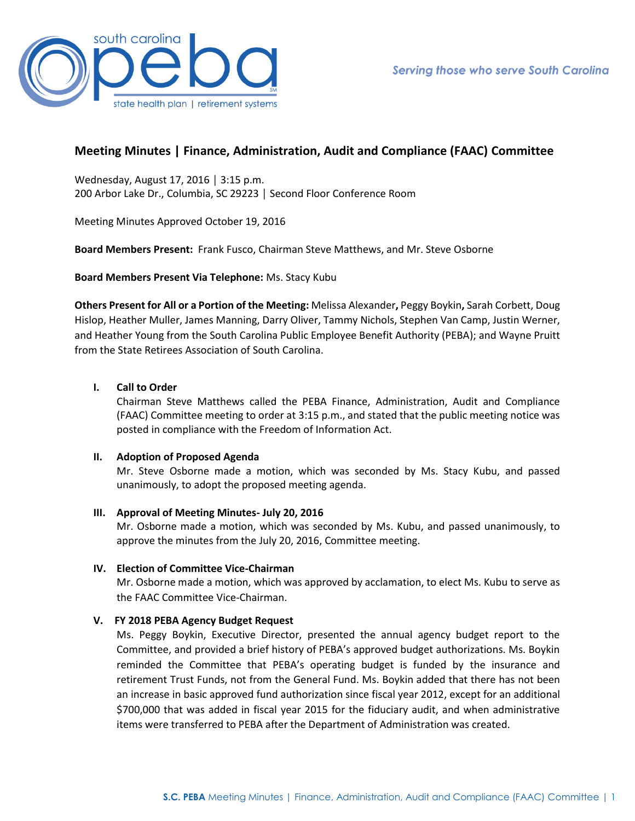

# **Meeting Minutes | Finance, Administration, Audit and Compliance (FAAC) Committee**

Wednesday, August 17, 2016 │ 3:15 p.m. 200 Arbor Lake Dr., Columbia, SC 29223 │ Second Floor Conference Room

Meeting Minutes Approved October 19, 2016

**Board Members Present:** Frank Fusco, Chairman Steve Matthews, and Mr. Steve Osborne

**Board Members Present Via Telephone:** Ms. Stacy Kubu

**Others Present for All or a Portion of the Meeting:** Melissa Alexander**,** Peggy Boykin**,** Sarah Corbett, Doug Hislop, Heather Muller, James Manning, Darry Oliver, Tammy Nichols, Stephen Van Camp, Justin Werner, and Heather Young from the South Carolina Public Employee Benefit Authority (PEBA); and Wayne Pruitt from the State Retirees Association of South Carolina.

## **I. Call to Order**

Chairman Steve Matthews called the PEBA Finance, Administration, Audit and Compliance (FAAC) Committee meeting to order at 3:15 p.m., and stated that the public meeting notice was posted in compliance with the Freedom of Information Act.

### **II. Adoption of Proposed Agenda**

Mr. Steve Osborne made a motion, which was seconded by Ms. Stacy Kubu, and passed unanimously, to adopt the proposed meeting agenda.

### **III. Approval of Meeting Minutes- July 20, 2016**

Mr. Osborne made a motion, which was seconded by Ms. Kubu, and passed unanimously, to approve the minutes from the July 20, 2016, Committee meeting.

### **IV. Election of Committee Vice-Chairman**

Mr. Osborne made a motion, which was approved by acclamation, to elect Ms. Kubu to serve as the FAAC Committee Vice-Chairman.

# **V. FY 2018 PEBA Agency Budget Request**

Ms. Peggy Boykin, Executive Director, presented the annual agency budget report to the Committee, and provided a brief history of PEBA's approved budget authorizations. Ms. Boykin reminded the Committee that PEBA's operating budget is funded by the insurance and retirement Trust Funds, not from the General Fund. Ms. Boykin added that there has not been an increase in basic approved fund authorization since fiscal year 2012, except for an additional \$700,000 that was added in fiscal year 2015 for the fiduciary audit, and when administrative items were transferred to PEBA after the Department of Administration was created.